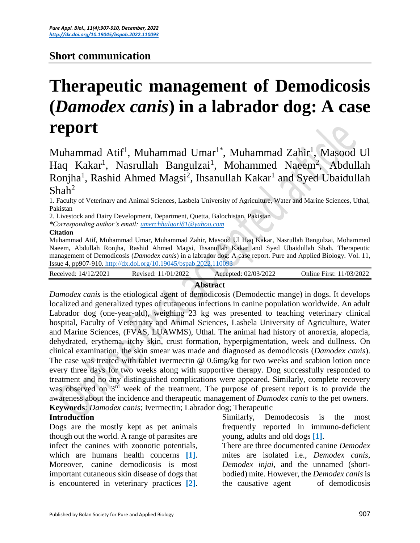# **Short communication**

# **Therapeutic management of Demodicosis (***Damodex canis***) in a labrador dog: A case report**

Muhammad Atif<sup>1</sup>, Muhammad Umar<sup>1\*</sup>, Muhammad Zahir<sup>1</sup>, Masood Ul Haq Kakar<sup>1</sup>, Nasrullah Bangulzai<sup>1</sup>, Mohammed Naeem<sup>2</sup>, Abdullah Ronjha<sup>1</sup>, Rashid Ahmed Magsi<sup>2</sup>, Ihsanullah Kakar<sup>1</sup> and Syed Ubaidullah  $Shah<sup>2</sup>$ 

1. Faculty of Veterinary and Animal Sciences, Lasbela University of Agriculture, Water and Marine Sciences, Uthal, Pakistan

2. Livestock and Dairy Development, Department, Quetta, Balochistan, Pakistan

*\*Corresponding author's email: [umerchhalgari81@yahoo.com](mailto:umerchhalgari81@yahoo.com)* 

#### **Citation**

Muhammad Atif, Muhammad Umar, Muhammad Zahir, Masood Ul Haq Kakar, Nasrullah Bangulzai, Mohammed Naeem, Abdullah Ronjha, Rashid Ahmed Magsi, Ihsanullah Kakar and Syed Ubaidullah Shah. Therapeutic management of Demodicosis (*Damodex canis*) in a labrador dog: A case report. Pure and Applied Biology. Vol. 11, Issue 4, pp907-910.<http://dx.doi.org/10.19045/bspab.2022.110093>

| Received:<br>14/12/2021 | 2022<br>701<br>Revised | /2022<br>2/03/2<br>Accepted:<br>VZI. | <b>I</b> nline<br>First: | /2022<br>/03/ |
|-------------------------|------------------------|--------------------------------------|--------------------------|---------------|
|                         |                        |                                      |                          |               |

# **Abstract**

*Damodex canis* is the etiological agent of demodicosis (Demodectic mange) in dogs. It develops localized and generalized types of cutaneous infections in canine population worldwide. An adult Labrador dog (one-year-old), weighing 23 kg was presented to teaching veterinary clinical hospital, Faculty of Veterinary and Animal Sciences, Lasbela University of Agriculture, Water and Marine Sciences, (FVAS, LUAWMS), Uthal. The animal had history of anorexia, alopecia, dehydrated, erythema, itchy skin, crust formation, hyperpigmentation, week and dullness. On clinical examination, the skin smear was made and diagnosed as demodicosis (*Damodex canis*). The case was treated with tablet ivermectin @ 0.6mg/kg for two weeks and scabion lotion once every three days for two weeks along with supportive therapy. Dog successfully responded to treatment and no any distinguished complications were appeared. Similarly, complete recovery was observed on 3<sup>rd</sup> week of the treatment. The purpose of present report is to provide the awareness about the incidence and therapeutic management of *Damodex canis* to the pet owners. **Keywords**: *Damodex canis*; Ivermectin; Labrador dog; Therapeutic

#### **Introduction**

Dogs are the mostly kept as pet animals though out the world. A range of parasites are infect the canines with zoonotic potentials, which are humans health concerns **[\[1\]](#page-3-0)**. Moreover, canine demodicosis is most important cutaneous skin disease of dogs that is encountered in veterinary practices **[\[2\]](#page-3-1)**.

Similarly, Demodecosis is the most frequently reported in immuno-deficient young, adults and old dogs **[\[1\]](#page-3-0)**.

There are three documented canine *Demodex* mites are isolated i.e., *Demodex canis*, *Demodex injai*, and the unnamed (shortbodied) mite. However, the *Demodex canis* is the causative agent of demodicosis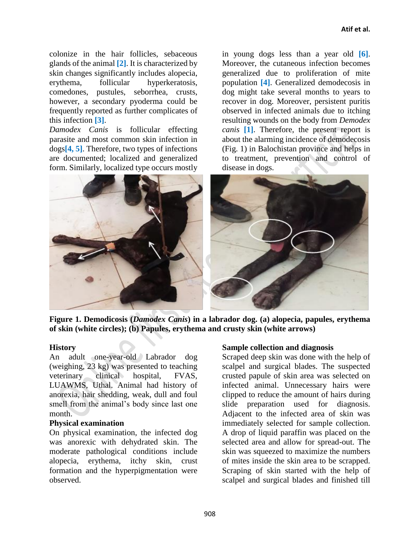colonize in the hair follicles, sebaceous glands of the animal **[\[2\]](#page-3-1)**. It is characterized by skin changes significantly includes alopecia, erythema, follicular hyperkeratosis, comedones, pustules, seborrhea, crusts, however, a secondary pyoderma could be frequently reported as further complicates of this infection **[3]**.

*Damodex Canis* is follicular effecting parasite and most common skin infection in dogs**[\[4,](#page-3-2) [5\]](#page-3-3)**. Therefore, two types of infections are documented; localized and generalized form. Similarly, localized type occurs mostly

in young dogs less than a year old **[\[6\]](#page-3-4)**. Moreover, the cutaneous infection becomes generalized due to proliferation of mite population **[\[4\]](#page-3-2)**. Generalized demodecosis in dog might take several months to years to recover in dog. Moreover, persistent puritis observed in infected animals due to itching resulting wounds on the body from *Demodex canis* **[\[1\]](#page-3-0)**. Therefore, the present report is about the alarming incidence of demodecosis (Fig. 1) in Balochistan province and helps in to treatment, prevention and control of disease in dogs.



**Figure 1. Demodicosis (***Damodex Canis***) in a labrador dog. (a) alopecia, papules, erythema of skin (white circles); (b) Papules, erythema and crusty skin (white arrows)**

# **History**

An adult one-year-old Labrador dog (weighing, 23 kg) was presented to teaching veterinary clinical hospital, FVAS, LUAWMS, Uthal. Animal had history of anorexia, hair shedding, weak, dull and foul smell from the animal's body since last one month.

# **Physical examination**

On physical examination, the infected dog was anorexic with dehydrated skin. The moderate pathological conditions include alopecia, erythema, itchy skin, crust formation and the hyperpigmentation were observed.

# **Sample collection and diagnosis**

Scraped deep skin was done with the help of scalpel and surgical blades. The suspected crusted papule of skin area was selected on infected animal. Unnecessary hairs were clipped to reduce the amount of hairs during slide preparation used for diagnosis. Adjacent to the infected area of skin was immediately selected for sample collection. A drop of liquid paraffin was placed on the selected area and allow for spread-out. The skin was squeezed to maximize the numbers of mites inside the skin area to be scrapped. Scraping of skin started with the help of scalpel and surgical blades and finished till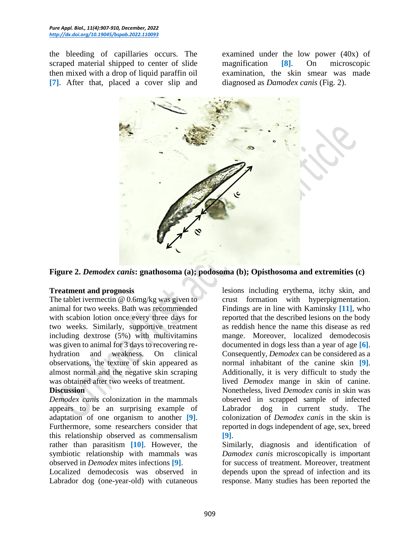the bleeding of capillaries occurs. The scraped material shipped to center of slide then mixed with a drop of liquid paraffin oil **[7]**. After that, placed a cover slip and examined under the low power (40x) of magnification **[8]**. On microscopic examination, the skin smear was made diagnosed as *Damodex canis* (Fig. 2).



**Figure 2.** *Demodex canis***: gnathosoma (a); podosoma (b); Opisthosoma and extremities (c)**

#### **Treatment and prognosis**

The tablet ivermectin @ 0.6mg/kg was given to animal for two weeks. Bath was recommended with scabion lotion once every three days for two weeks. Similarly, supportive treatment including dextrose (5%) with multivitamins was given to animal for 3 days to recovering rehydration and weakness. On clinical observations, the texture of skin appeared as almost normal and the negative skin scraping was obtained after two weeks of treatment.

#### **Discussion**

*Demodex canis* colonization in the mammals appears to be an surprising example of adaptation of one organism to another **[\[9\]](#page-3-5)**. Furthermore, some researchers consider that this relationship observed as commensalism rather than parasitism **[\[10\]](#page-3-6)**. However, the symbiotic relationship with mammals was observed in *Demodex* mites infections **[\[9\]](#page-3-5)**.

Localized demodecosis was observed in Labrador dog (one-year-old) with cutaneous lesions including erythema, itchy skin, and crust formation with hyperpigmentation. Findings are in line with Kaminsky **[11]**, who reported that the described lesions on the body as reddish hence the name this disease as red mange. Moreover, localized demodecosis documented in dogs less than a year of age **[\[6\]](#page-3-4)**. Consequently, *Demodex* can be considered as a normal inhabitant of the canine skin **[\[9\]](#page-3-5)**. Additionally, it is very difficult to study the lived *Demodex* mange in skin of canine. Nonetheless, lived *Demodex canis* in skin was observed in scrapped sample of infected Labrador dog in current study. The colonization of *Demodex canis* in the skin is reported in dogs independent of age, sex, breed **[\[9\]](#page-3-5)**.

Similarly, diagnosis and identification of *Damodex canis* microscopically is important for success of treatment. Moreover, treatment depends upon the spread of infection and its response. Many studies has been reported the